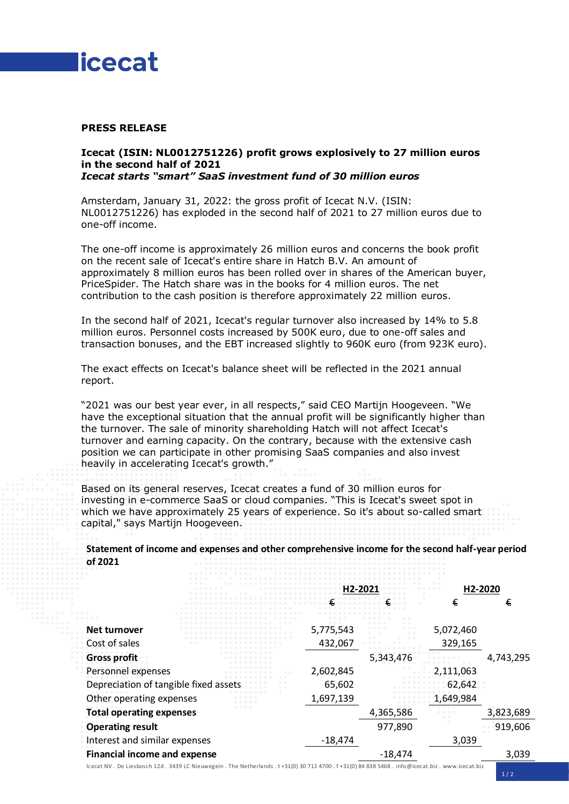

### **PRESS RELEASE**

#### **Icecat (ISIN: NL0012751226) profit grows explosively to 27 million euros in the second half of 2021** *Icecat starts "smart" SaaS investment fund of 30 million euros*

Amsterdam, January 31, 2022: the gross profit of Icecat N.V. (ISIN: NL0012751226) has exploded in the second half of 2021 to 27 million euros due to one-off income.

The one-off income is approximately 26 million euros and concerns the book profit on the recent sale of Icecat's entire share in Hatch B.V. An amount of approximately 8 million euros has been rolled over in shares of the American buyer, PriceSpider. The Hatch share was in the books for 4 million euros. The net contribution to the cash position is therefore approximately 22 million euros.

In the second half of 2021, Icecat's regular turnover also increased by 14% to 5.8 million euros. Personnel costs increased by 500K euro, due to one-off sales and transaction bonuses, and the EBT increased slightly to 960K euro (from 923K euro).

The exact effects on Icecat's balance sheet will be reflected in the 2021 annual report.

"2021 was our best year ever, in all respects," said CEO Martijn Hoogeveen. "We have the exceptional situation that the annual profit will be significantly higher than the turnover. The sale of minority shareholding Hatch will not affect Icecat's turnover and earning capacity. On the contrary, because with the extensive cash position we can participate in other promising SaaS companies and also invest heavily in accelerating Icecat's growth."

Based on its general reserves, Icecat creates a fund of 30 million euros for investing in e-commerce SaaS or cloud companies. "This is Icecat's sweet spot in which we have approximately 25 years of experience. So it's about so-called smart capital," says Martijn Hoogeveen.

**Statement of income and expenses and other comprehensive income for the second half-year period of 2021**

|                                       | H2-2021   |                            | H2-2020   |           |
|---------------------------------------|-----------|----------------------------|-----------|-----------|
|                                       |           |                            | €         | €         |
|                                       |           | 0.0<br>$\bullet$ $\bullet$ |           |           |
| Net turnover                          | 5,775,543 | $- - -$                    | 5,072,460 |           |
| Cost of sales                         | 432,067   |                            | 329,165   |           |
| <b>Gross profit</b>                   |           | 5,343,476                  |           | 4,743,295 |
| Personnel expenses                    | 2,602,845 |                            | 2,111,063 |           |
| Depreciation of tangible fixed assets | 65,602    |                            | 62,642    |           |
| Other operating expenses              | 1,697,139 |                            | 1,649,984 |           |
| <b>Total operating expenses</b>       |           | 4,365,586                  |           | 3,823,689 |
| <b>Operating result</b>               |           | 977,890                    |           | 919,606   |
| Interest and similar expenses         | $-18,474$ |                            | 3,039     |           |
| <b>Financial income and expense</b>   |           | $-18.474$                  |           | 3,039     |

Icecat NV . De Liesbosch 12d . 3439 LC Nieuwegein . The Netherlands . t +31(0) 30 711 4700 . f +31(0) 84 838 5468 . info@icecat.biz [. www.icecat.biz](http://www.icecat.biz/)

 $1/2$